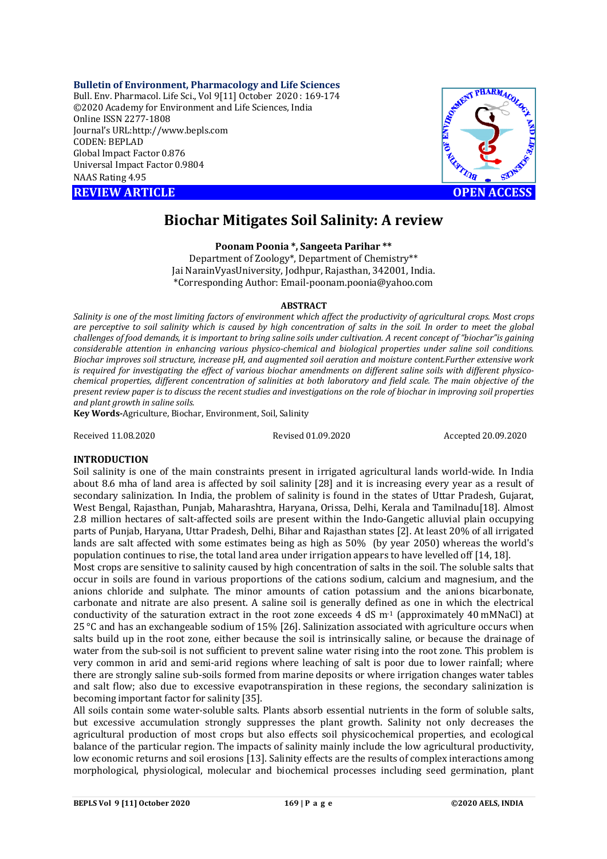### **Bulletin of Environment, Pharmacology and Life Sciences**

Bull. Env. Pharmacol. Life Sci., Vol 9[11] October 2020 : 169-174 ©2020 Academy for Environment and Life Sciences, India Online ISSN 2277-1808 Journal's URL:<http://www.bepls.com> CODEN: BEPLAD Global Impact Factor 0.876 Universal Impact Factor 0.9804 NAAS Rating 4.95

**REVIEW ARTICLE CONSERVERS** 



# **Biochar Mitigates Soil Salinity: A review**

**Poonam Poonia \*, Sangeeta Parihar \*\***

Department of Zoology\*, Department of Chemistry\*\* Jai NarainVyasUniversity, Jodhpur, Rajasthan, 342001, India. \*Corresponding Author: [Email-poonam.poonia@yahoo.com](mailto:Email-poonam.poonia@yahoo.com)

## **ABSTRACT**

*Salinity is one of the most limiting factors of environment which affect the productivity of agricultural crops. Most crops are perceptive to soil salinity which is caused by high concentration of salts in the soil. In order to meet the global challenges of food demands, it is important to bring saline soils under cultivation. A recent concept of "biochar"is gaining considerable attention in enhancing various physico-chemical and biological properties under saline soil conditions. Biochar improves soil structure, increase pH, and augmented soil aeration and moisture content.Further extensive work is required for investigating the effect of various biochar amendments on different saline soils with different physicochemical properties, different concentration of salinities at both laboratory and field scale. The main objective of the present review paper is to discuss the recent studies and investigations on the role of biochar in improving soil properties and plant growth in saline soils.* 

**Key Words-**Agriculture, Biochar, Environment, Soil, Salinity

Received 11.08.2020 Revised 01.09.2020 Accepted 20.09.2020

## **INTRODUCTION**

Soil salinity is one of the main constraints present in irrigated agricultural lands world-wide. In India about 8.6 mha of land area is affected by soil salinity [28] and it is increasing every year as a result of secondary salinization. In India, the problem of salinity is found in the states of Uttar Pradesh, Gujarat, West Bengal, Rajasthan, Punjab, Maharashtra, Haryana, Orissa, Delhi, Kerala and Tamilnadu[18]. Almost 2.8 million hectares of salt-affected soils are present within the Indo-Gangetic alluvial plain occupying parts of Punjab, Haryana, Uttar Pradesh, Delhi, Bihar and Rajasthan states [2]. At least 20% of all irrigated lands are salt affected with some estimates being as high as 50% (by year 2050) whereas the world's population continues to rise, the total land area under irrigation appears to have levelled off [14, 18].

Most crops are sensitive to salinity caused by high concentration of salts in the soil. The soluble salts that occur in soils are found in various proportions of the cations sodium, calcium and magnesium, and the anions chloride and sulphate. The minor amounts of cation potassium and the anions bicarbonate, carbonate and nitrate are also present. A saline soil is generally defined as one in which the electrical conductivity of the saturation extract in the root zone exceeds 4 dS  $m<sup>-1</sup>$  (approximately 40 mMNaCl) at 25 °C and has an exchangeable sodium of 15% [26]. Salinization associated with agriculture occurs when salts build up in the root zone, either because the soil is intrinsically saline, or because the drainage of water from the sub-soil is not sufficient to prevent saline water rising into the root zone. This problem is very common in arid and semi-arid regions where leaching of salt is poor due to lower rainfall; where there are strongly saline sub-soils formed from marine deposits or where irrigation changes water tables and salt flow; also due to excessive evapotranspiration in these regions, the secondary salinization is becoming important factor for salinity [35].

All soils contain some water-soluble salts. Plants absorb essential nutrients in the form of soluble salts, but excessive accumulation strongly suppresses the plant growth. Salinity not only decreases the agricultural production of most crops but also effects soil physicochemical properties, and ecological balance of the particular region. The impacts of salinity mainly include the low agricultural productivity, low economic returns and soil erosions [13]. Salinity effects are the results of complex interactions among morphological, physiological, molecular and biochemical processes including seed germination, plant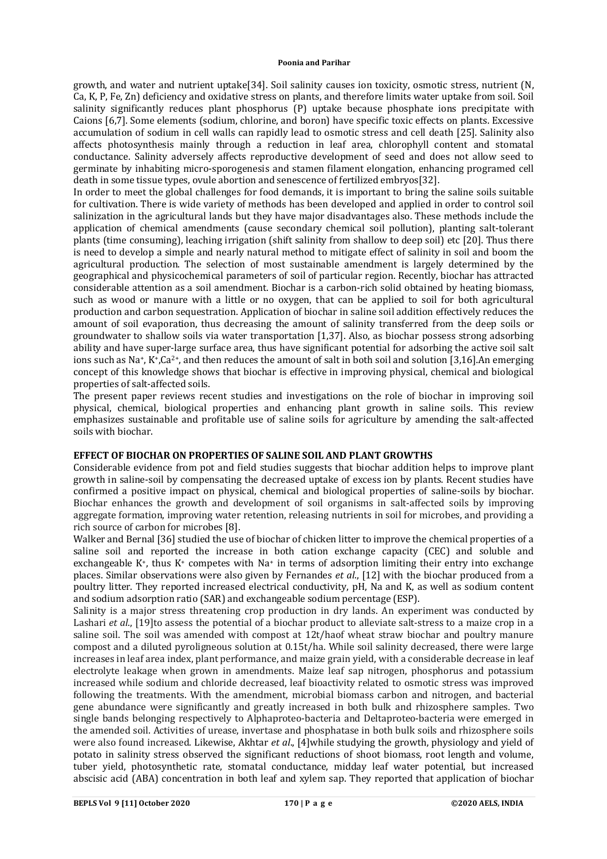growth, and water and nutrient uptake[34]. Soil salinity causes ion toxicity, osmotic stress, nutrient (N, Ca, K, P, Fe, Zn) deficiency and oxidative stress on plants, and therefore limits water uptake from soil. Soil salinity significantly reduces plant phosphorus (P) uptake because phosphate ions precipitate with Caions [6,7]. Some elements (sodium, chlorine, and boron) have specific toxic effects on plants. Excessive accumulation of sodium in cell walls can rapidly lead to osmotic stress and cell death [25]. Salinity also affects photosynthesis mainly through a reduction in leaf area, chlorophyll content and stomatal conductance. Salinity adversely affects reproductive development of seed and does not allow seed to germinate by inhabiting micro-sporogenesis and stamen filament elongation, enhancing programed cell death in some tissue types, ovule abortion and senescence of fertilized embryos[32].

In order to meet the global challenges for food demands, it is important to bring the saline soils suitable for cultivation. There is wide variety of methods has been developed and applied in order to control soil salinization in the agricultural lands but they have major disadvantages also. These methods include the application of chemical amendments (cause secondary chemical soil pollution), planting salt-tolerant plants (time consuming), leaching irrigation (shift salinity from shallow to deep soil) etc [20]. Thus there is need to develop a simple and nearly natural method to mitigate effect of salinity in soil and boom the agricultural production. The selection of most sustainable amendment is largely determined by the geographical and physicochemical parameters of soil of particular region. Recently, biochar has attracted considerable attention as a soil amendment. Biochar is a carbon-rich solid obtained by heating biomass, such as wood or manure with a little or no oxygen, that can be applied to soil for both agricultural production and carbon sequestration. Application of biochar in saline soil addition effectively reduces the amount of soil evaporation, thus decreasing the amount of salinity transferred from the deep soils or groundwater to shallow soils via water transportation [1,37]. Also, as biochar possess strong adsorbing ability and have super-large surface area, thus have significant potential for adsorbing the active soil salt ions such as Na<sup>+</sup>, K<sup>+</sup>,Ca<sup>2+</sup>, and then reduces the amount of salt in both soil and solution [3,16].An emerging concept of this knowledge shows that biochar is effective in improving physical, chemical and biological properties of salt-affected soils.

The present paper reviews recent studies and investigations on the role of biochar in improving soil physical, chemical, biological properties and enhancing plant growth in saline soils. This review emphasizes sustainable and profitable use of saline soils for agriculture by amending the salt-affected soils with biochar.

# **EFFECT OF BIOCHAR ON PROPERTIES OF SALINE SOIL AND PLANT GROWTHS**

Considerable evidence from pot and field studies suggests that biochar addition helps to improve plant growth in saline-soil by compensating the decreased uptake of excess ion by plants. Recent studies have confirmed a positive impact on physical, chemical and biological properties of saline-soils by biochar. Biochar enhances the growth and development of soil organisms in salt-affected soils by improving aggregate formation, improving water retention, releasing nutrients in soil for microbes, and providing a rich source of carbon for microbes [8].

Walker and Bernal [36] studied the use of biochar of chicken litter to improve the chemical properties of a saline soil and reported the increase in both cation exchange capacity (CEC) and soluble and exchangeable K<sup>+</sup>, thus K<sup>+</sup> competes with Na<sup>+</sup> in terms of adsorption limiting their entry into exchange places. Similar observations were also given by Fernandes *et al*., [12] with the biochar produced from a poultry litter. They reported increased electrical conductivity, pH, Na and K, as well as sodium content and sodium adsorption ratio (SAR) and exchangeable sodium percentage (ESP).

Salinity is a major stress threatening crop production in dry lands. An experiment was conducted by Lashari *et al*., [19]to assess the potential of a biochar product to alleviate salt-stress to a maize crop in a saline soil. The soil was amended with compost at 12t/haof wheat straw biochar and poultry manure compost and a diluted pyroligneous solution at 0.15t/ha. While soil salinity decreased, there were large increases in leaf area index, plant performance, and maize grain yield, with a considerable decrease in leaf electrolyte leakage when grown in amendments. Maize leaf sap nitrogen, phosphorus and potassium increased while sodium and chloride decreased, leaf bioactivity related to osmotic stress was improved following the treatments. With the amendment, microbial biomass carbon and nitrogen, and bacterial gene abundance were significantly and greatly increased in both bulk and rhizosphere samples. Two single bands belonging respectively to Alphaproteo-bacteria and Deltaproteo-bacteria were emerged in the amended soil. Activities of urease, invertase and phosphatase in both bulk soils and rhizosphere soils were also found increased. Likewise, Akhtar *et al*., [4]while studying the growth, physiology and yield of potato in salinity stress observed the significant reductions of shoot biomass, root length and volume, tuber yield, photosynthetic rate, stomatal conductance, midday leaf water potential, but increased abscisic acid (ABA) concentration in both leaf and xylem sap. They reported that application of biochar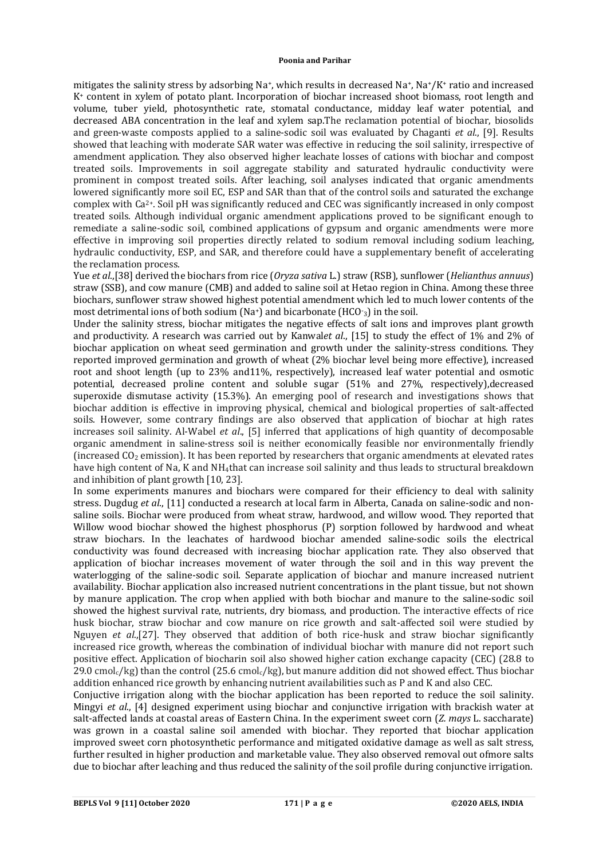mitigates the salinity stress by adsorbing  $Na^+$ , which results in decreased  $Na^+$ ,  $Na^+/K^+$  ratio and increased K<sup>+</sup> content in xylem of potato plant. Incorporation of biochar increased shoot biomass, root length and volume, tuber yield, photosynthetic rate, stomatal conductance, midday leaf water potential, and decreased ABA concentration in the leaf and xylem sap.The reclamation potential of biochar, biosolids and green-waste composts applied to a saline-sodic soil was evaluated by Chaganti *et al*., [9]. Results showed that leaching with moderate SAR water was effective in reducing the soil salinity, irrespective of amendment application. They also observed higher leachate losses of cations with biochar and compost treated soils. Improvements in soil aggregate stability and saturated hydraulic conductivity were prominent in compost treated soils. After leaching, soil analyses indicated that organic amendments lowered significantly more soil EC, ESP and SAR than that of the control soils and saturated the exchange complex with Ca2+. Soil pH was significantly reduced and CEC was significantly increased in only compost treated soils. Although individual organic amendment applications proved to be significant enough to remediate a saline-sodic soil, combined applications of gypsum and organic amendments were more effective in improving soil properties directly related to sodium removal including sodium leaching, hydraulic conductivity, ESP, and SAR, and therefore could have a supplementary benefit of accelerating the reclamation process.

Yue *et al*.,[38] derived the biochars from rice (*Oryza sativa* L.) straw (RSB), sunflower (*Helianthus annuus*) straw (SSB), and cow manure (CMB) and added to saline soil at Hetao region in China. Among these three biochars, sunflower straw showed highest potential amendment which led to much lower contents of the most detrimental ions of both sodium (Na+) and bicarbonate (HCO-<sup>3</sup>) in the soil.

Under the salinity stress, biochar mitigates the negative effects of salt ions and improves plant growth and productivity. A research was carried out by Kanwal*et al*., [15] to study the effect of 1% and 2% of biochar application on wheat seed germination and growth under the salinity-stress conditions. They reported improved germination and growth of wheat (2% biochar level being more effective), increased root and shoot length (up to 23% and11%, respectively), increased leaf water potential and osmotic potential, decreased proline content and soluble sugar (51% and 27%, respectively),decreased superoxide dismutase activity (15.3%). An emerging pool of research and investigations shows that biochar addition is effective in improving physical, chemical and biological properties of salt-affected soils. However, some contrary findings are also observed that application of biochar at high rates increases soil salinity. Al-Wabel *et al*., [5] inferred that applications of high quantity of decomposable organic amendment in saline-stress soil is neither economically feasible nor environmentally friendly (increased CO<sup>2</sup> emission). It has been reported by researchers that organic amendments at elevated rates have high content of Na, K and NH4that can increase soil salinity and thus leads to structural breakdown and inhibition of plant growth [10, 23].

In some experiments manures and biochars were compared for their efficiency to deal with salinity stress. Dugdug *et al*., [11] conducted a research at local farm in Alberta, Canada on saline-sodic and nonsaline soils. Biochar were produced from wheat straw, hardwood, and willow wood. They reported that Willow wood biochar showed the highest phosphorus (P) sorption followed by hardwood and wheat straw biochars. In the leachates of hardwood biochar amended saline-sodic soils the electrical conductivity was found decreased with increasing biochar application rate. They also observed that application of biochar increases movement of water through the soil and in this way prevent the waterlogging of the saline-sodic soil. Separate application of biochar and manure increased nutrient availability. Biochar application also increased nutrient concentrations in the plant tissue, but not shown by manure application. The crop when applied with both biochar and manure to the saline-sodic soil showed the highest survival rate, nutrients, dry biomass, and production. The interactive effects of rice husk biochar, straw biochar and cow manure on rice growth and salt-affected soil were studied by Nguyen *et al*.,[27]. They observed that addition of both rice-husk and straw biochar significantly increased rice growth, whereas the combination of individual biochar with manure did not report such positive effect. Application of biocharin soil also showed higher cation exchange capacity (CEC) (28.8 to 29.0 cmol<sub>c</sub>/kg) than the control (25.6 cmol<sub>c</sub>/kg), but manure addition did not showed effect. Thus biochar addition enhanced rice growth by enhancing nutrient availabilities such as P and K and also CEC.

Conjuctive irrigation along with the biochar application has been reported to reduce the soil salinity. Mingyi *et al*., [4] designed experiment using biochar and conjunctive irrigation with brackish water at salt-affected lands at coastal areas of Eastern China. In the experiment sweet corn (*Z. mays* L. saccharate) was grown in a coastal saline soil amended with biochar. They reported that biochar application improved sweet corn photosynthetic performance and mitigated oxidative damage as well as salt stress, further resulted in higher production and marketable value. They also observed removal out ofmore salts due to biochar after leaching and thus reduced the salinity of the soil profile during conjunctive irrigation.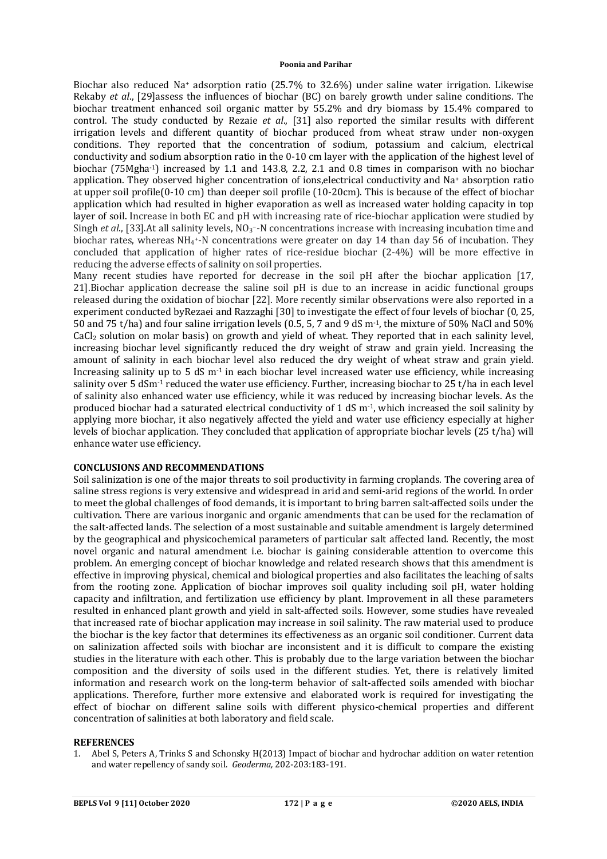#### **Poonia and Parihar**

Biochar also reduced Na<sup>+</sup> adsorption ratio (25.7% to 32.6%) under saline water irrigation. Likewise Rekaby *et al*., [29]assess the influences of biochar (BC) on barely growth under saline conditions. The biochar treatment enhanced soil organic matter by 55.2% and dry biomass by 15.4% compared to control. The study conducted by Rezaie *et al*., [31] also reported the similar results with different irrigation levels and different quantity of biochar produced from wheat straw under non-oxygen conditions. They reported that the concentration of sodium, potassium and calcium, electrical conductivity and sodium absorption ratio in the 0-10 cm layer with the application of the highest level of biochar (75Mgha-1) increased by 1.1 and 143.8, 2.2, 2.1 and 0.8 times in comparison with no biochar application. They observed higher concentration of ions,electrical conductivity and Na<sup>+</sup> absorption ratio at upper soil profile(0-10 cm) than deeper soil profile (10-20cm). This is because of the effect of biochar application which had resulted in higher evaporation as well as increased water holding capacity in top layer of soil. Increase in both EC and pH with increasing rate of rice-biochar application were studied by Singh *et al.*, [33].At all salinity levels, NO<sub>3</sub><sup>-</sup>-N concentrations increase with increasing incubation time and biochar rates, whereas NH<sup>4</sup> <sup>+</sup>‐N concentrations were greater on day 14 than day 56 of incubation. They concluded that application of higher rates of rice-residue biochar (2-4%) will be more effective in reducing the adverse effects of salinity on soil properties.

Many recent studies have reported for decrease in the soil pH after the biochar application [17, 21].Biochar application decrease the saline soil pH is due to an increase in acidic functional groups released during the oxidation of biochar [22]. More recently similar observations were also reported in a experiment conducted byRezaei and Razzaghi [30] to investigate the effect of four levels of biochar (0, 25, 50 and 75 t/ha) and four saline irrigation levels (0.5, 5, 7 and 9 dS m-1, the mixture of 50% NaCl and 50% CaCl<sup>2</sup> solution on molar basis) on growth and yield of wheat. They reported that in each salinity level, increasing biochar level significantly reduced the dry weight of straw and grain yield. Increasing the amount of salinity in each biochar level also reduced the dry weight of wheat straw and grain yield. Increasing salinity up to 5 dS  $m<sup>-1</sup>$  in each biochar level increased water use efficiency, while increasing salinity over 5 dSm-1 reduced the water use efficiency. Further, increasing biochar to 25 t/ha in each level of salinity also enhanced water use efficiency, while it was reduced by increasing biochar levels. As the produced biochar had a saturated electrical conductivity of 1 dS m-1, which increased the soil salinity by applying more biochar, it also negatively affected the yield and water use efficiency especially at higher levels of biochar application. They concluded that application of appropriate biochar levels (25 t/ha) will enhance water use efficiency.

## **CONCLUSIONS AND RECOMMENDATIONS**

Soil salinization is one of the major threats to soil productivity in farming croplands. The covering area of saline stress regions is very extensive and widespread in arid and semi-arid regions of the world. In order to meet the global challenges of food demands, it is important to bring barren salt-affected soils under the cultivation. There are various inorganic and organic amendments that can be used for the reclamation of the salt-affected lands. The selection of a most sustainable and suitable amendment is largely determined by the geographical and physicochemical parameters of particular salt affected land. Recently, the most novel organic and natural amendment i.e. biochar is gaining considerable attention to overcome this problem. An emerging concept of biochar knowledge and related research shows that this amendment is effective in improving physical, chemical and biological properties and also facilitates the leaching of salts from the rooting zone. Application of biochar improves soil quality including soil pH, water holding capacity and infiltration, and fertilization use efficiency by plant. Improvement in all these parameters resulted in enhanced plant growth and yield in salt-affected soils. However, some studies have revealed that increased rate of biochar application may increase in soil salinity. The raw material used to produce the biochar is the key factor that determines its effectiveness as an organic soil conditioner. Current data on salinization affected soils with biochar are inconsistent and it is difficult to compare the existing studies in the literature with each other. This is probably due to the large variation between the biochar composition and the diversity of soils used in the different studies. Yet, there is relatively limited information and research work on the long-term behavior of salt-affected soils amended with biochar applications. Therefore, further more extensive and elaborated work is required for investigating the effect of biochar on different saline soils with different physico-chemical properties and different concentration of salinities at both laboratory and field scale.

# **REFERENCES**

1. Abel S, Peters A, Trinks S and Schonsky H(2013) Impact of biochar and hydrochar addition on water retention and water repellency of sandy soil. *Geoderma,* 202-203:183-191.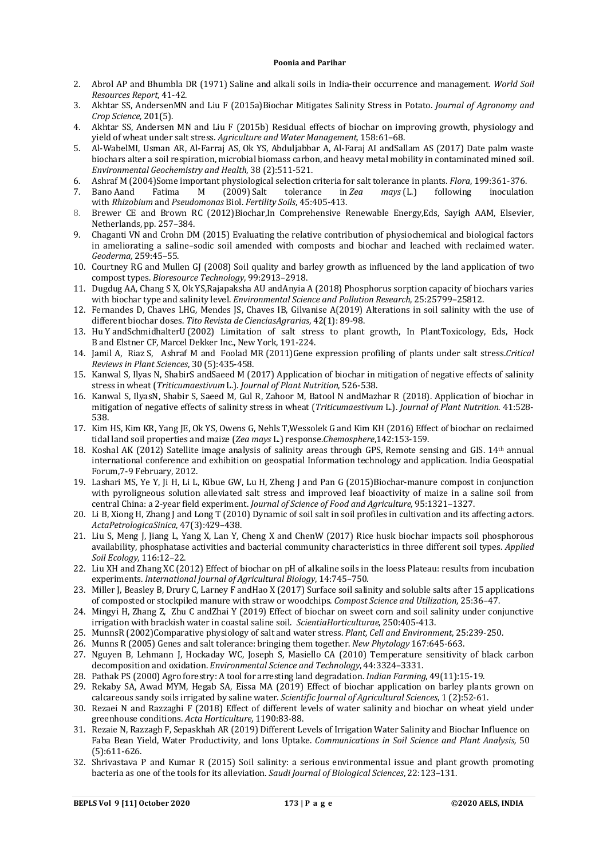#### **Poonia and Parihar**

- 2. Abrol AP and Bhumbla DR (1971) Saline and alkali soils in India-their occurrence and management. *World Soil Resources Report*, 41-42.
- 3. Akhtar SS, AndersenMN and Liu F (2015a)Biochar Mitigates Salinity Stress in Potato. *Journal of Agronomy and Crop Science,* 201(5).
- 4. Akhtar SS, Andersen MN and Liu F (2015b) Residual effects of biochar on improving growth, physiology and yield of wheat under salt stress. *Agriculture and Water Management*, 158:61–68.
- 5. Al-WabelMI, Usman AR, Al-Farraj AS, Ok YS, Abduljabbar A, Al-Faraj AI andSallam AS (2017) Date palm waste biochars alter a soil respiration, microbial biomass carbon, and heavy metal mobility in contaminated mined soil. *Environmental Geochemistry and Health*, 38 (2):511-521.
- 6. Ashraf M (2004)Some important physiological selection criteria for salt tolerance in plants. *Flora*, 199:361-376.
- 7. Bano Aand Fatima M (2009) Salt tolerance in *Zea mays* (L.) following inoculation with *Rhizobium* and *Pseudomonas* Biol. *Fertility Soils*, 45:405-413.
- 8. Brewer CE and Brown RC (2012)Biochar,In Comprehensive Renewable Energy,Eds, Sayigh AAM, Elsevier, Netherlands, pp. 257–384.
- 9. Chaganti VN and Crohn DM (2015) Evaluating the relative contribution of physiochemical and biological factors in ameliorating a saline–sodic soil amended with composts and biochar and leached with reclaimed water. *Geoderma,* 259:45–55.
- 10. Courtney RG and Mullen GJ (2008) Soil quality and barley growth as influenced by the land application of two compost types. *Bioresource Technology*, 99:2913–2918.
- 11. Dugdug AA, Chang S X, Ok YS,Rajapaksha AU andAnyia A (2018) Phosphorus sorption capacity of biochars varies with biochar type and salinity level. *Environmental Science and Pollution Research*, 25:25799–25812.
- 12. Fernandes D, Chaves LHG, Mendes JS, Chaves IB, Gilvanise A(2019) Alterations in soil salinity with the use of different biochar doses. *Tito Revista de CienciasAgrarias*, 42(1): 89-98.
- 13. Hu Y andSchmidhalterU (2002) Limitation of salt stress to plant growth, In PlantToxicology, Eds, Hock B and Elstner CF, Marcel Dekker Inc., New York, 191-224.
- 14. Jamil A, Riaz S, Ashraf M and Foolad MR (2011)Gene expression profiling of plants under salt stress.*Critical Reviews in Plant Sciences*, 30 (5):435-458.
- 15. Kanwal S, Ilyas N, ShabirS andSaeed M (2017) Application of biochar in mitigation of negative effects of salinity stress in wheat (*Triticumaestivum* L.). *Journal of Plant Nutrition*, 526-538.
- 16. Kanwal S, IlyasN, Shabir S, Saeed M, Gul R, Zahoor M, Batool N andMazhar R (2018). Application of biochar in mitigation of negative effects of salinity stress in wheat (*Triticumaestivum* L.). *Journal of Plant Nutrition*. 41:528- 538.
- 17. Kim HS, Kim KR, Yang JE, Ok YS, Owens G, Nehls T,Wessolek G and Kim KH (2016) Effect of biochar on reclaimed tidal land soil properties and maize (*Zea mays* L.) response.*Chemosphere*,142:153-159.
- 18. Koshal AK (2012) Satellite image analysis of salinity areas through GPS, Remote sensing and GIS. 14th annual international conference and exhibition on geospatial Information technology and application. India Geospatial Forum,7-9 February, 2012.
- 19. Lashari MS, Ye Y, Ji H, Li L, Kibue GW, Lu H, Zheng J and Pan G (2015)Biochar-manure compost in conjunction with pyroligneous solution alleviated salt stress and improved leaf bioactivity of maize in a saline soil from central China: a 2-year field experiment. *Journal of Science of Food and Agriculture*, 95:1321–1327.
- 20. Li B, Xiong H, Zhang J and Long T (2010) Dynamic of soil salt in soil profiles in cultivation and its affecting actors. *ActaPetrologicaSinica*, 47(3):429–438.
- 21. Liu S, Meng J, Jiang L, Yang X, Lan Y, Cheng X and ChenW (2017) Rice husk biochar impacts soil phosphorous availability, phosphatase activities and bacterial community characteristics in three different soil types. *Applied Soil Ecology*, 116:12–22.
- 22. Liu XH and Zhang XC (2012) Effect of biochar on pH of alkaline soils in the loess Plateau: results from incubation experiments. *International Journal of Agricultural Biology*, 14:745–750.
- 23. Miller J, Beasley B, Drury C, Larney F andHao X (2017) Surface soil salinity and soluble salts after 15 applications of composted or stockpiled manure with straw or woodchips. *Compost Science and Utilization*, 25:36–47.
- 24. Mingyi H, Zhang Z, Zhu C andZhai Y (2019) Effect of biochar on sweet corn and soil salinity under conjunctive irrigation with brackish water in coastal saline soil. *ScientiaHorticulturae*, 250:405-413.
- 25. MunnsR (2002)Comparative physiology of salt and water stress. *Plant, Cell and Environment*, 25:239-250.
- 26. Munns R (2005) Genes and salt tolerance: bringing them together. *New Phytology* 167:645-663.
- 27. Nguyen B, Lehmann J, Hockaday WC, Joseph S, Masiello CA (2010) Temperature sensitivity of black carbon decomposition and oxidation. *Environmental Science and Technology*, 44:3324–3331.
- 28. Pathak PS (2000) Agro forestry: A tool for arresting land degradation. *Indian Farming*, 49(11):15-19.
- 29. Rekaby SA, Awad MYM, Hegab SA, Eissa MA (2019) Effect of biochar application on barley plants grown on calcareous sandy soils irrigated by saline water. *Scientific Journal of Agricultural Sciences*, 1 (2):52-61.
- 30. Rezaei N and Razzaghi F (2018) Effect of different levels of water salinity and biochar on wheat yield under greenhouse conditions. *Acta Horticulture*, 1190:83-88.
- 31. Rezaie N, Razzagh F, Sepaskhah AR (2019) Different Levels of Irrigation Water Salinity and Biochar Influence on Faba Bean Yield, Water Productivity, and Ions Uptake. *Communications in Soil Science and Plant Analysis,* 50 (5):611-626.
- 32. Shrivastava P and Kumar R (2015) Soil salinity: a serious environmental issue and plant growth promoting bacteria as one of the tools for its alleviation. *Saudi Journal of Biological Sciences*, 22:123–131.